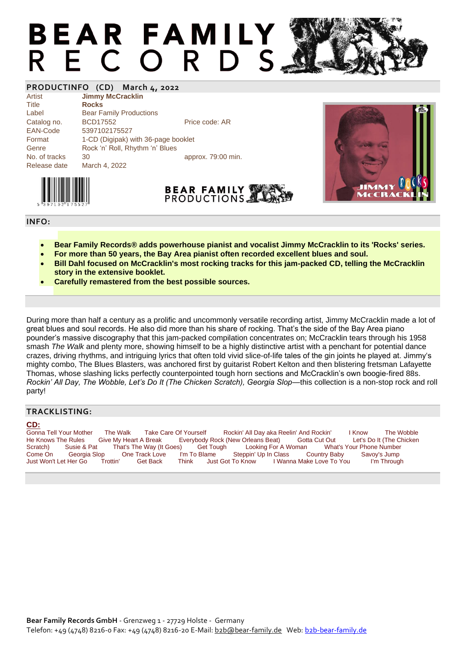## **BEAR FAMILY** R E C O R D S

### **PRODUCTINFO (CD) March 4, 2022**

| Artist        | <b>Jimmy McCracklin</b>             |                    |
|---------------|-------------------------------------|--------------------|
| Title         | <b>Rocks</b>                        |                    |
| Label         | <b>Bear Family Productions</b>      |                    |
| Catalog no.   | <b>BCD17552</b>                     | Price code: AR     |
| EAN-Code      | 5397102175527                       |                    |
| Format        | 1-CD (Digipak) with 36-page booklet |                    |
| Genre         | Rock 'n' Roll, Rhythm 'n' Blues     |                    |
| No. of tracks | 30                                  | approx. 79:00 min. |
| Release date  | March 4, 2022                       |                    |



#### **INFO:**

- **Bear Family Records® adds powerhouse pianist and vocalist Jimmy McCracklin to its 'Rocks' series.**
- **For more than 50 years, the Bay Area pianist often recorded excellent blues and soul.**

**BEAR FAMILY** PRODUCTIONS.

- **Bill Dahl focused on McCracklin's most rocking tracks for this jam-packed CD, telling the McCracklin story in the extensive booklet.**
- **Carefully remastered from the best possible sources.**

During more than half a century as a prolific and uncommonly versatile recording artist, Jimmy McCracklin made a lot of great blues and soul records. He also did more than his share of rocking. That's the side of the Bay Area piano pounder's massive discography that this jam-packed compilation concentrates on; McCracklin tears through his 1958 smash *The Walk* and plenty more, showing himself to be a highly distinctive artist with a penchant for potential dance crazes, driving rhythms, and intriguing lyrics that often told vivid slice-of-life tales of the gin joints he played at. Jimmy's mighty combo, The Blues Blasters, was anchored first by guitarist Robert Kelton and then blistering fretsman Lafayette Thomas, whose slashing licks perfectly counterpointed tough horn sections and McCracklin's own boogie-fired 88s. *Rockin' All Day, The Wobble, Let's Do It (The Chicken Scratch), Georgia Slop—this collection is a non-stop rock and roll* party!

#### **TRACKLISTING:**

#### **CD:**

Gonna Tell Your Mother The Walk Take Care Of Yourself Rockin' All Day aka Reelin' And Rockin' I Know The Wobble<br>He Knows The Rules Give My Heart A Break Everybody Rock (New Orleans Beat) Gotta Cut Out Let's Do It (The Chic Give My Heart A Break Everybody Rock (New Orleans Beat) Gotta Cut Out Let's Do It (The Chicken<br>t That's The Way (It Goes) Get Tough Looking For A Woman What's Your Phone Number Scratch) Susie & Pat That's The Way (It Goes) Get Tough Looking For A Woman What's Your Phone Number<br>Come On Georgia Slop One Track Love I'm To Blame Steppin' Up In Class Country Baby Savoy's Jump Come On Georgia Slop One Track Love I'm To Blame Steppin' Up In Class Country Baby Savoy's Jump I Wanna Make Love To You